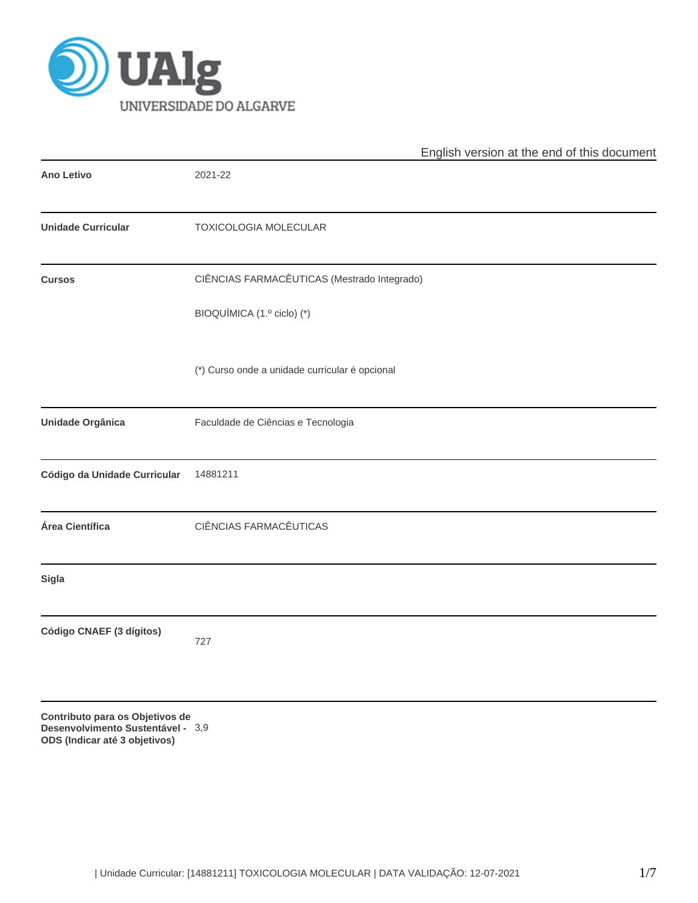

|                                                                                                       | English version at the end of this document    |  |  |  |  |  |  |
|-------------------------------------------------------------------------------------------------------|------------------------------------------------|--|--|--|--|--|--|
| <b>Ano Letivo</b>                                                                                     | 2021-22                                        |  |  |  |  |  |  |
| <b>Unidade Curricular</b>                                                                             | TOXICOLOGIA MOLECULAR                          |  |  |  |  |  |  |
| <b>Cursos</b>                                                                                         | CIÊNCIAS FARMACÊUTICAS (Mestrado Integrado)    |  |  |  |  |  |  |
|                                                                                                       | BIOQUÍMICA (1.º ciclo) (*)                     |  |  |  |  |  |  |
|                                                                                                       | (*) Curso onde a unidade curricular é opcional |  |  |  |  |  |  |
| Unidade Orgânica                                                                                      | Faculdade de Ciências e Tecnologia             |  |  |  |  |  |  |
| Código da Unidade Curricular                                                                          | 14881211                                       |  |  |  |  |  |  |
| Área Científica                                                                                       | CIÊNCIAS FARMACÊUTICAS                         |  |  |  |  |  |  |
| Sigla                                                                                                 |                                                |  |  |  |  |  |  |
| Código CNAEF (3 dígitos)                                                                              | 727                                            |  |  |  |  |  |  |
| Contributo para os Objetivos de<br>Desenvolvimento Sustentável - 3,9<br>ODS (Indicar até 3 objetivos) |                                                |  |  |  |  |  |  |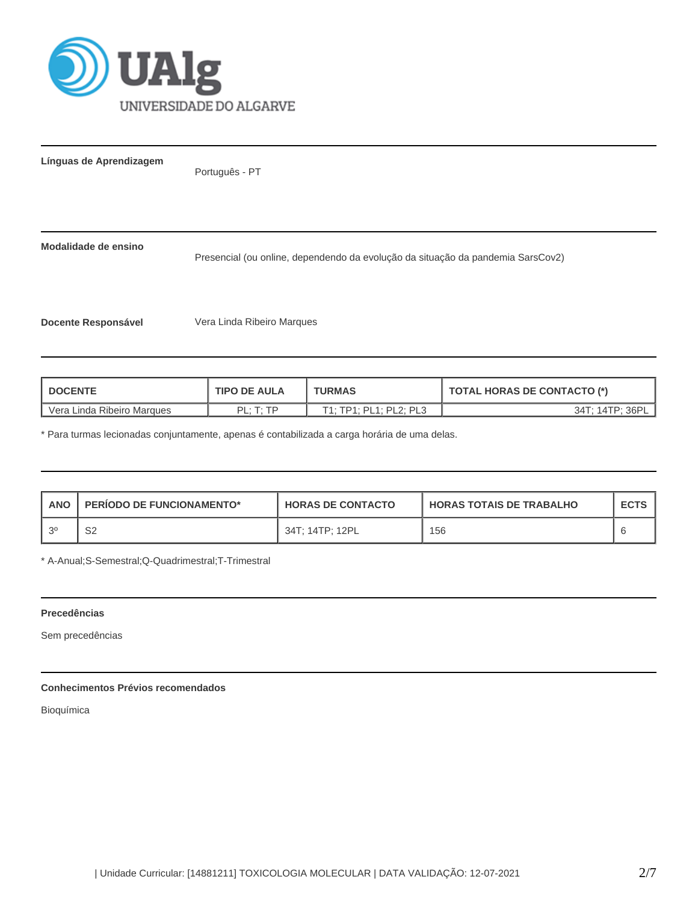

**Línguas de Aprendizagem**

Português - PT

**Modalidade de ensino**

Presencial (ou online, dependendo da evolução da situação da pandemia SarsCov2)

**Docente Responsável** Vera Linda Ribeiro Marques

| <b>DOCENTE</b>             | <b>TIPO DE AULA</b>          | <b>TURMAS</b>          | <b>TOTAL HORAS DE CONTACTO (*)</b> |  |  |
|----------------------------|------------------------------|------------------------|------------------------------------|--|--|
| Vera Linda Ribeiro Marques | $PI \cdot T \cdot TP$<br>. . | T1; TP1; PL1; PL2; PL3 | 34T: 14TP: 36PI                    |  |  |

\* Para turmas lecionadas conjuntamente, apenas é contabilizada a carga horária de uma delas.

| <b>ANO</b> | <b>PERIODO DE FUNCIONAMENTO*</b> | <b>HORAS DE CONTACTO</b> | <b>I HORAS TOTAIS DE TRABALHO</b> | <b>ECTS</b> |
|------------|----------------------------------|--------------------------|-----------------------------------|-------------|
| $\Omega$   | S2                               | 34T: 14TP: 12PL          | 156                               |             |

\* A-Anual;S-Semestral;Q-Quadrimestral;T-Trimestral

### **Precedências**

Sem precedências

# **Conhecimentos Prévios recomendados**

Bioquímica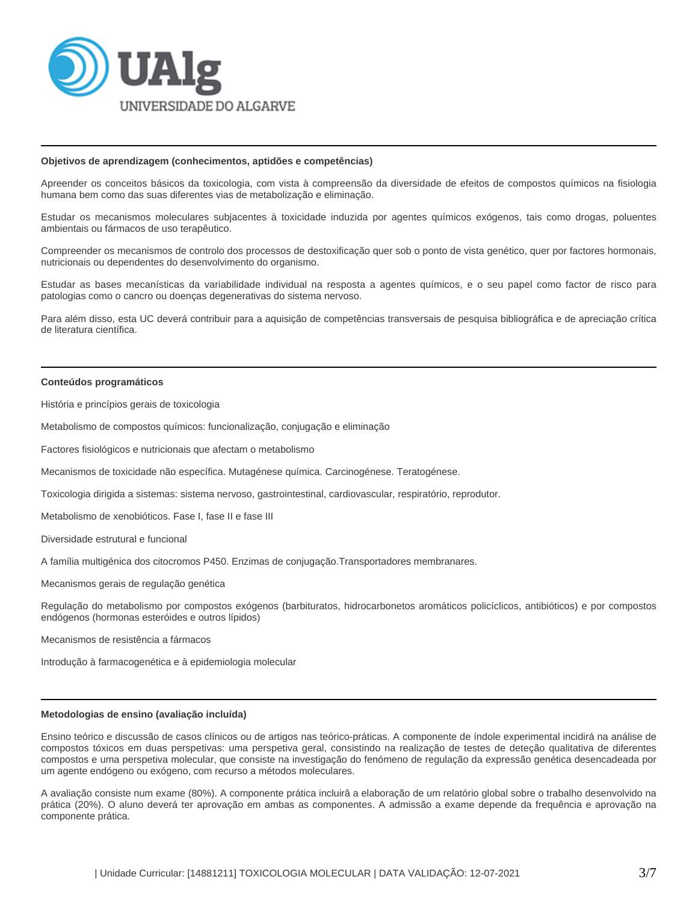

#### **Objetivos de aprendizagem (conhecimentos, aptidões e competências)**

Apreender os conceitos básicos da toxicologia, com vista à compreensão da diversidade de efeitos de compostos químicos na fisiologia humana bem como das suas diferentes vias de metabolização e eliminação.

Estudar os mecanismos moleculares subjacentes à toxicidade induzida por agentes químicos exógenos, tais como drogas, poluentes ambientais ou fármacos de uso terapêutico.

Compreender os mecanismos de controlo dos processos de destoxificação quer sob o ponto de vista genético, quer por factores hormonais, nutricionais ou dependentes do desenvolvimento do organismo.

Estudar as bases mecanísticas da variabilidade individual na resposta a agentes químicos, e o seu papel como factor de risco para patologias como o cancro ou doenças degenerativas do sistema nervoso.

Para além disso, esta UC deverá contribuir para a aquisição de competências transversais de pesquisa bibliográfica e de apreciação crítica de literatura científica.

### **Conteúdos programáticos**

História e princípios gerais de toxicologia

Metabolismo de compostos químicos: funcionalização, conjugação e eliminação

Factores fisiológicos e nutricionais que afectam o metabolismo

Mecanismos de toxicidade não específica. Mutagénese química. Carcinogénese. Teratogénese.

Toxicologia dirigida a sistemas: sistema nervoso, gastrointestinal, cardiovascular, respiratório, reprodutor.

Metabolismo de xenobióticos. Fase I, fase II e fase III

Diversidade estrutural e funcional

A família multigénica dos citocromos P450. Enzimas de conjugação.Transportadores membranares.

Mecanismos gerais de regulação genética

Regulação do metabolismo por compostos exógenos (barbituratos, hidrocarbonetos aromáticos policíclicos, antibióticos) e por compostos endógenos (hormonas esteróides e outros lípidos)

Mecanismos de resistência a fármacos

Introdução à farmacogenética e à epidemiologia molecular

### **Metodologias de ensino (avaliação incluída)**

Ensino teórico e discussão de casos clínicos ou de artigos nas teórico-práticas. A componente de índole experimental incidirá na análise de compostos tóxicos em duas perspetivas: uma perspetiva geral, consistindo na realização de testes de deteção qualitativa de diferentes compostos e uma perspetiva molecular, que consiste na investigação do fenómeno de regulação da expressão genética desencadeada por um agente endógeno ou exógeno, com recurso a métodos moleculares.

A avaliação consiste num exame (80%). A componente prática incluirâ a elaboração de um relatório global sobre o trabalho desenvolvido na prática (20%). O aluno deverá ter aprovação em ambas as componentes. A admissão a exame depende da frequência e aprovação na componente prática.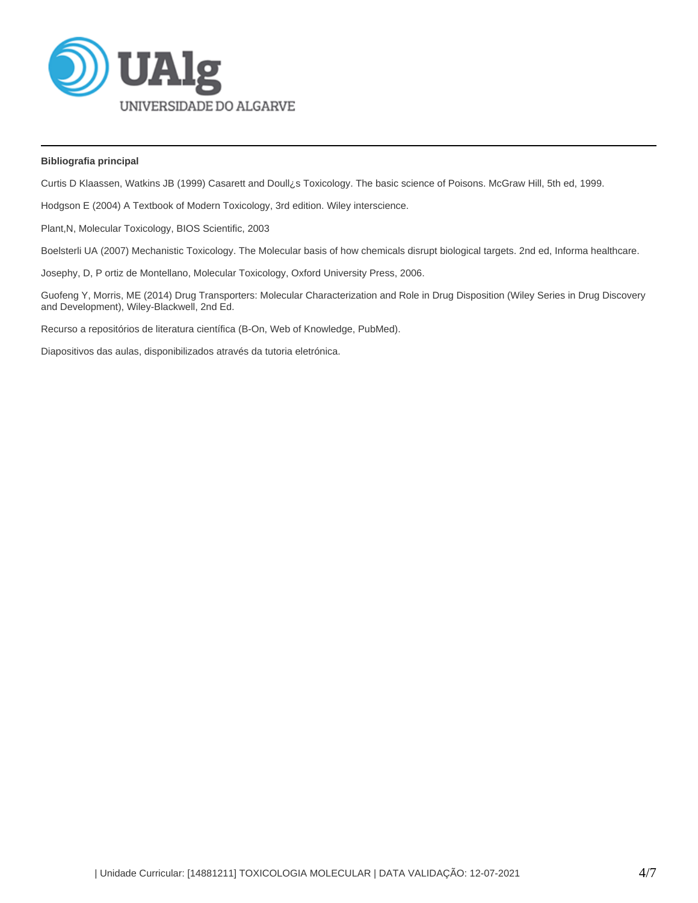

# **Bibliografia principal**

Curtis D Klaassen, Watkins JB (1999) Casarett and Doull¿s Toxicology. The basic science of Poisons. McGraw Hill, 5th ed, 1999.

Hodgson E (2004) A Textbook of Modern Toxicology, 3rd edition. Wiley interscience.

Plant,N, Molecular Toxicology, BIOS Scientific, 2003

Boelsterli UA (2007) Mechanistic Toxicology. The Molecular basis of how chemicals disrupt biological targets. 2nd ed, Informa healthcare.

Josephy, D, P ortiz de Montellano, Molecular Toxicology, Oxford University Press, 2006.

Guofeng Y, Morris, ME (2014) Drug Transporters: Molecular Characterization and Role in Drug Disposition (Wiley Series in Drug Discovery and Development), Wiley-Blackwell, 2nd Ed.

Recurso a repositórios de literatura científica (B-On, Web of Knowledge, PubMed).

Diapositivos das aulas, disponibilizados através da tutoria eletrónica.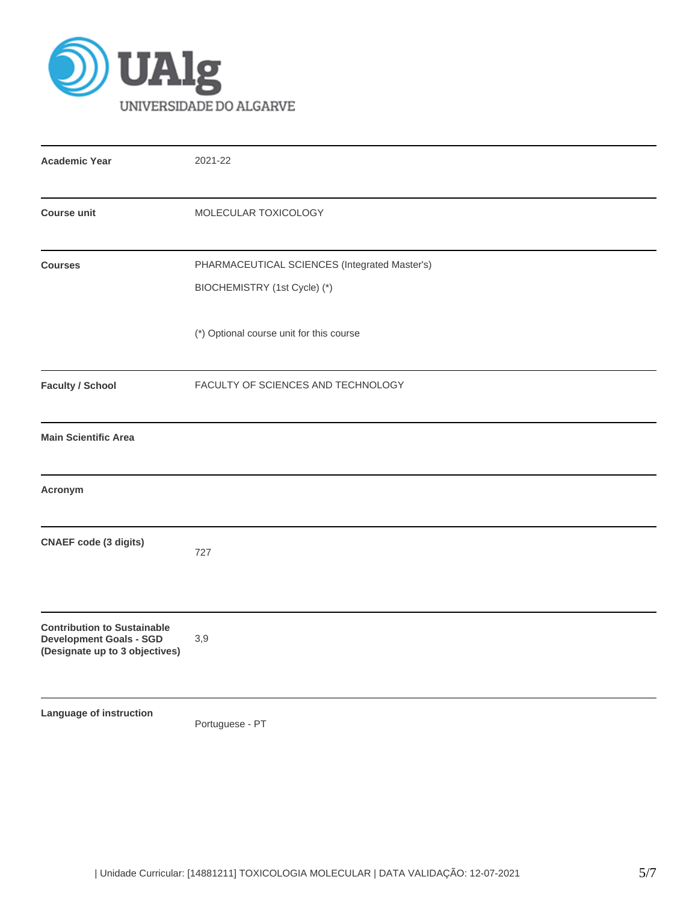

| <b>Academic Year</b>                                                                                   | 2021-22                                                                       |
|--------------------------------------------------------------------------------------------------------|-------------------------------------------------------------------------------|
| <b>Course unit</b>                                                                                     | MOLECULAR TOXICOLOGY                                                          |
| <b>Courses</b>                                                                                         | PHARMACEUTICAL SCIENCES (Integrated Master's)<br>BIOCHEMISTRY (1st Cycle) (*) |
|                                                                                                        | (*) Optional course unit for this course                                      |
| <b>Faculty / School</b>                                                                                | FACULTY OF SCIENCES AND TECHNOLOGY                                            |
| <b>Main Scientific Area</b>                                                                            |                                                                               |
| Acronym                                                                                                |                                                                               |
| <b>CNAEF</b> code (3 digits)                                                                           | 727                                                                           |
| <b>Contribution to Sustainable</b><br><b>Development Goals - SGD</b><br>(Designate up to 3 objectives) | 3,9                                                                           |
| Language of instruction                                                                                | Portuguese - PT                                                               |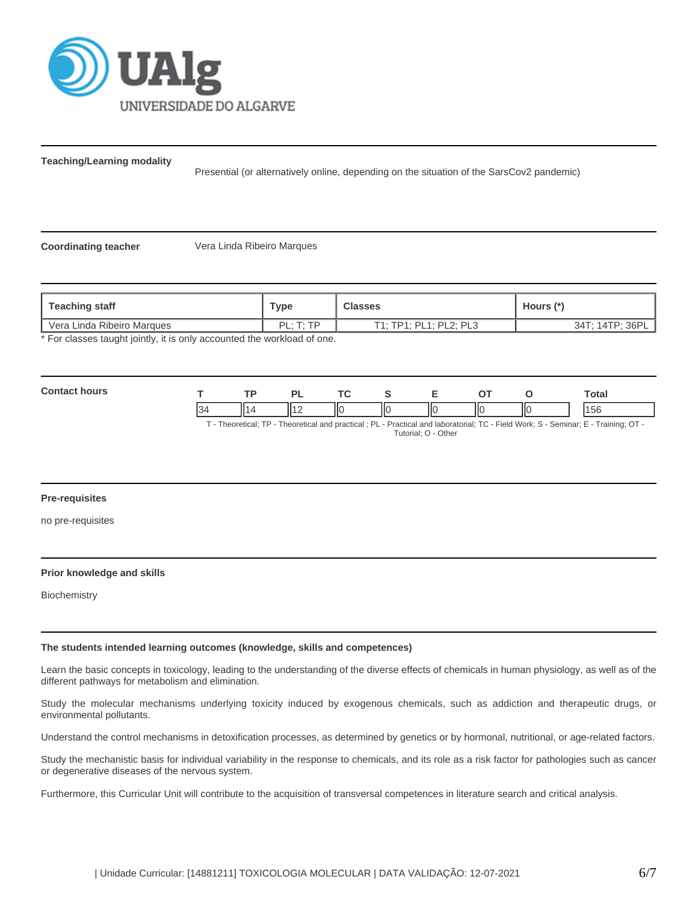

**Teaching/Learning modality**

Presential (or alternatively online, depending on the situation of the SarsCov2 pandemic)

**Coordinating teacher** Vera Linda Ribeiro Marques

| <b>Teaching staff</b>                                                 | ™уре                  | <b>Classes</b>         | Hours (*`       |  |  |  |
|-----------------------------------------------------------------------|-----------------------|------------------------|-----------------|--|--|--|
| Vera Linda Ribeiro Marques                                            | $PI \cdot T \cdot TP$ | T1: TP1: PL1: PL2: PL3 | 34T: 14TP: 36PL |  |  |  |
| * Ear elecces tought jointly it is only accounted the werkload of one |                       |                        |                 |  |  |  |

For classes taught jointly, it is only accounted the workload of one.

| Con<br>hours<br>-- | -   |   | D. | $\mathbf{r}$ |   |                          |    |     | Total         |
|--------------------|-----|---|----|--------------|---|--------------------------|----|-----|---------------|
|                    | 134 | ш |    | IIо          | Ш | $\overline{\phantom{a}}$ | II | IІC | $\sim$<br>סכו |

T - Theoretical; TP - Theoretical and practical ; PL - Practical and laboratorial; TC - Field Work; S - Seminar; E - Training; OT - Tutorial; O - Other

# **Pre-requisites**

no pre-requisites

### **Prior knowledge and skills**

**Biochemistry** 

#### **The students intended learning outcomes (knowledge, skills and competences)**

Learn the basic concepts in toxicology, leading to the understanding of the diverse effects of chemicals in human physiology, as well as of the different pathways for metabolism and elimination.

Study the molecular mechanisms underlying toxicity induced by exogenous chemicals, such as addiction and therapeutic drugs, or environmental pollutants.

Understand the control mechanisms in detoxification processes, as determined by genetics or by hormonal, nutritional, or age-related factors.

Study the mechanistic basis for individual variability in the response to chemicals, and its role as a risk factor for pathologies such as cancer or degenerative diseases of the nervous system.

Furthermore, this Curricular Unit will contribute to the acquisition of transversal competences in literature search and critical analysis.